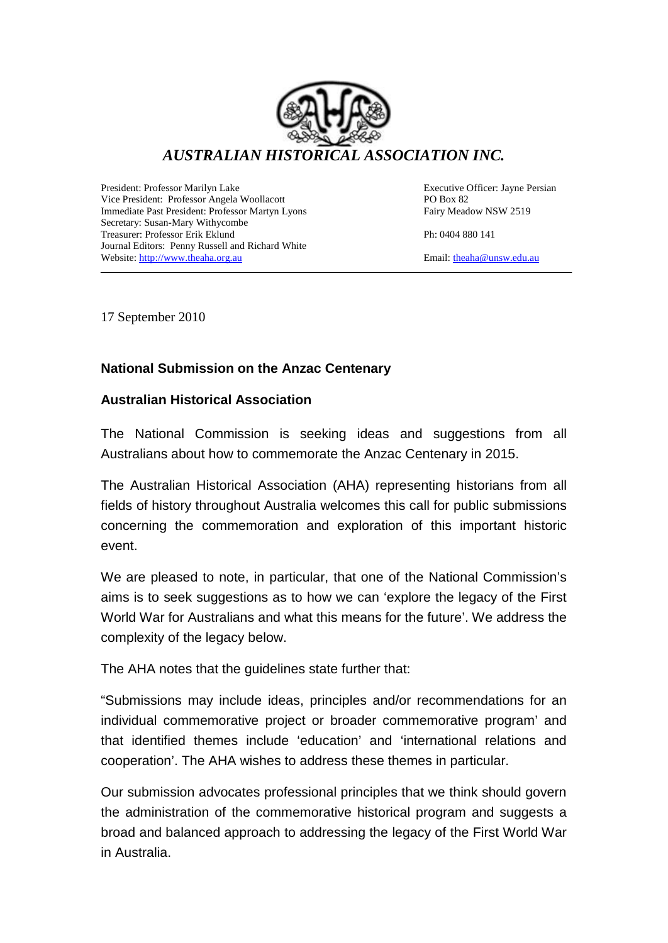

President: Professor Marilyn Lake Executive Officer: Jayne Persian Vice President: Professor Angela Woollacott **PO Box 82**<br>
Immediate Past President: Professor Martyn Lyons Fairy Meadow NSW 2519 Immediate Past President: Professor Martyn Lyons Secretary: Susan-Mary Withycombe Treasurer: Professor Erik Eklund Ph: 0404 880 141 Journal Editors: Penny Russell and Richard White Website: [http://www.theaha.org.au](http://www.theaha.org.au/) Email: [theaha@unsw.edu.au](mailto:theaha@unsw.edu.au)

17 September 2010

# **National Submission on the Anzac Centenary**

### **Australian Historical Association**

The National Commission is seeking ideas and suggestions from all Australians about how to commemorate the Anzac Centenary in 2015.

The Australian Historical Association (AHA) representing historians from all fields of history throughout Australia welcomes this call for public submissions concerning the commemoration and exploration of this important historic event.

We are pleased to note, in particular, that one of the National Commission's aims is to seek suggestions as to how we can 'explore the legacy of the First World War for Australians and what this means for the future'. We address the complexity of the legacy below.

The AHA notes that the guidelines state further that:

"Submissions may include ideas, principles and/or recommendations for an individual commemorative project or broader commemorative program' and that identified themes include 'education' and 'international relations and cooperation'. The AHA wishes to address these themes in particular.

Our submission advocates professional principles that we think should govern the administration of the commemorative historical program and suggests a broad and balanced approach to addressing the legacy of the First World War in Australia.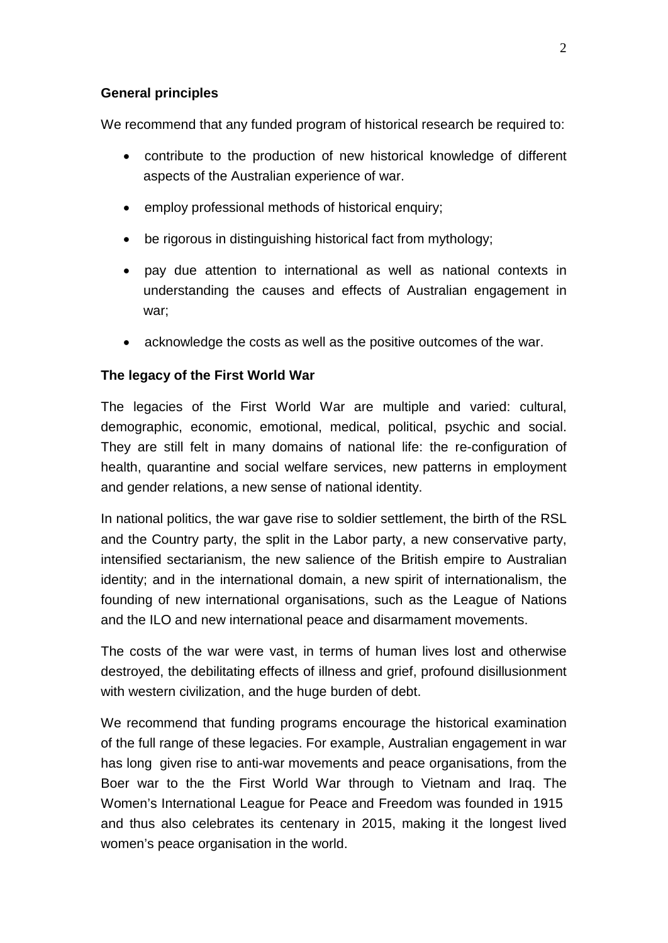#### **General principles**

We recommend that any funded program of historical research be required to:

- contribute to the production of new historical knowledge of different aspects of the Australian experience of war.
- employ professional methods of historical enquiry;
- be rigorous in distinguishing historical fact from mythology;
- pay due attention to international as well as national contexts in understanding the causes and effects of Australian engagement in war;
- acknowledge the costs as well as the positive outcomes of the war.

### **The legacy of the First World War**

The legacies of the First World War are multiple and varied: cultural, demographic, economic, emotional, medical, political, psychic and social. They are still felt in many domains of national life: the re-configuration of health, quarantine and social welfare services, new patterns in employment and gender relations, a new sense of national identity.

In national politics, the war gave rise to soldier settlement, the birth of the RSL and the Country party, the split in the Labor party, a new conservative party, intensified sectarianism, the new salience of the British empire to Australian identity; and in the international domain, a new spirit of internationalism, the founding of new international organisations, such as the League of Nations and the ILO and new international peace and disarmament movements.

The costs of the war were vast, in terms of human lives lost and otherwise destroyed, the debilitating effects of illness and grief, profound disillusionment with western civilization, and the huge burden of debt.

We recommend that funding programs encourage the historical examination of the full range of these legacies. For example, Australian engagement in war has long given rise to anti-war movements and peace organisations, from the Boer war to the the First World War through to Vietnam and Iraq. The Women's International League for Peace and Freedom was founded in 1915 and thus also celebrates its centenary in 2015, making it the longest lived women's peace organisation in the world.